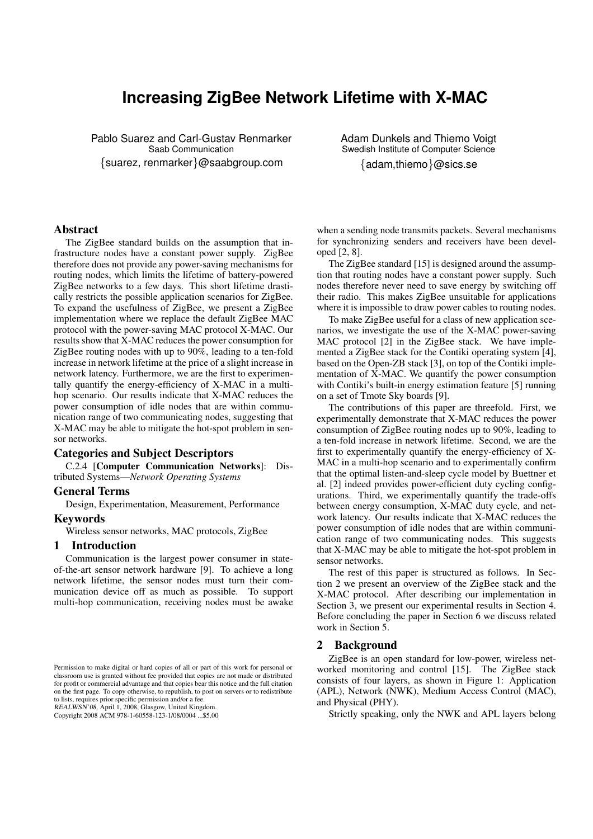# **Increasing ZigBee Network Lifetime with X-MAC**

Pablo Suarez and Carl-Gustav Renmarker Saab Communication {suarez, renmarker}@saabgroup.com

Adam Dunkels and Thiemo Voigt Swedish Institute of Computer Science {adam,thiemo}@sics.se

# Abstract

The ZigBee standard builds on the assumption that infrastructure nodes have a constant power supply. ZigBee therefore does not provide any power-saving mechanisms for routing nodes, which limits the lifetime of battery-powered ZigBee networks to a few days. This short lifetime drastically restricts the possible application scenarios for ZigBee. To expand the usefulness of ZigBee, we present a ZigBee implementation where we replace the default ZigBee MAC protocol with the power-saving MAC protocol X-MAC. Our results show that X-MAC reduces the power consumption for ZigBee routing nodes with up to 90%, leading to a ten-fold increase in network lifetime at the price of a slight increase in network latency. Furthermore, we are the first to experimentally quantify the energy-efficiency of X-MAC in a multihop scenario. Our results indicate that X-MAC reduces the power consumption of idle nodes that are within communication range of two communicating nodes, suggesting that X-MAC may be able to mitigate the hot-spot problem in sensor networks.

#### Categories and Subject Descriptors

C.2.4 [Computer Communication Networks]: Distributed Systems—*Network Operating Systems*

#### General Terms

Design, Experimentation, Measurement, Performance

## Keywords

Wireless sensor networks, MAC protocols, ZigBee

## 1 Introduction

Communication is the largest power consumer in stateof-the-art sensor network hardware [9]. To achieve a long network lifetime, the sensor nodes must turn their communication device off as much as possible. To support multi-hop communication, receiving nodes must be awake

REALWSN'08, April 1, 2008, Glasgow, United Kingdom. Copyright 2008 ACM 978-1-60558-123-1/08/0004 ...\$5.00

when a sending node transmits packets. Several mechanisms for synchronizing senders and receivers have been developed [2, 8].

The ZigBee standard [15] is designed around the assumption that routing nodes have a constant power supply. Such nodes therefore never need to save energy by switching off their radio. This makes ZigBee unsuitable for applications where it is impossible to draw power cables to routing nodes.

To make ZigBee useful for a class of new application scenarios, we investigate the use of the X-MAC power-saving MAC protocol [2] in the ZigBee stack. We have implemented a ZigBee stack for the Contiki operating system [4], based on the Open-ZB stack [3], on top of the Contiki implementation of X-MAC. We quantify the power consumption with Contiki's built-in energy estimation feature [5] running on a set of Tmote Sky boards [9].

The contributions of this paper are threefold. First, we experimentally demonstrate that X-MAC reduces the power consumption of ZigBee routing nodes up to 90%, leading to a ten-fold increase in network lifetime. Second, we are the first to experimentally quantify the energy-efficiency of X-MAC in a multi-hop scenario and to experimentally confirm that the optimal listen-and-sleep cycle model by Buettner et al. [2] indeed provides power-efficient duty cycling configurations. Third, we experimentally quantify the trade-offs between energy consumption, X-MAC duty cycle, and network latency. Our results indicate that X-MAC reduces the power consumption of idle nodes that are within communication range of two communicating nodes. This suggests that X-MAC may be able to mitigate the hot-spot problem in sensor networks.

The rest of this paper is structured as follows. In Section 2 we present an overview of the ZigBee stack and the X-MAC protocol. After describing our implementation in Section 3, we present our experimental results in Section 4. Before concluding the paper in Section 6 we discuss related work in Section 5.

#### 2 Background

ZigBee is an open standard for low-power, wireless networked monitoring and control [15]. The ZigBee stack consists of four layers, as shown in Figure 1: Application (APL), Network (NWK), Medium Access Control (MAC), and Physical (PHY).

Strictly speaking, only the NWK and APL layers belong

Permission to make digital or hard copies of all or part of this work for personal or classroom use is granted without fee provided that copies are not made or distributed for profit or commercial advantage and that copies bear this notice and the full citation on the first page. To copy otherwise, to republish, to post on servers or to redistribute to lists, requires prior specific permission and/or a fee.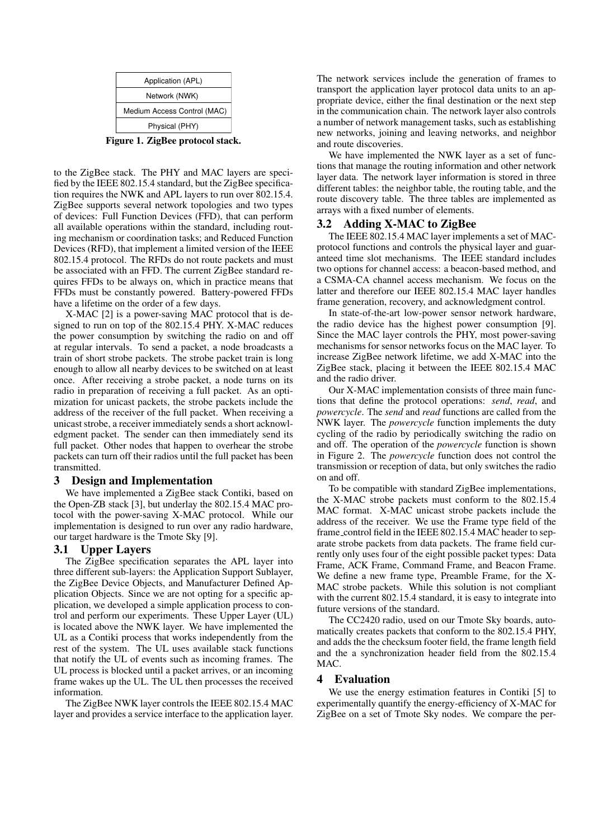|                                  | Application (APL)           |  |
|----------------------------------|-----------------------------|--|
|                                  | Network (NWK)               |  |
|                                  | Medium Access Control (MAC) |  |
|                                  | Physical (PHY)              |  |
| Figure 1. ZigBee protocol stack. |                             |  |

to the ZigBee stack. The PHY and MAC layers are specified by the IEEE 802.15.4 standard, but the ZigBee specification requires the NWK and APL layers to run over 802.15.4. ZigBee supports several network topologies and two types of devices: Full Function Devices (FFD), that can perform all available operations within the standard, including routing mechanism or coordination tasks; and Reduced Function Devices (RFD), that implement a limited version of the IEEE 802.15.4 protocol. The RFDs do not route packets and must be associated with an FFD. The current ZigBee standard requires FFDs to be always on, which in practice means that FFDs must be constantly powered. Battery-powered FFDs have a lifetime on the order of a few days.

X-MAC [2] is a power-saving MAC protocol that is designed to run on top of the 802.15.4 PHY. X-MAC reduces the power consumption by switching the radio on and off at regular intervals. To send a packet, a node broadcasts a train of short strobe packets. The strobe packet train is long enough to allow all nearby devices to be switched on at least once. After receiving a strobe packet, a node turns on its radio in preparation of receiving a full packet. As an optimization for unicast packets, the strobe packets include the address of the receiver of the full packet. When receiving a unicast strobe, a receiver immediately sends a short acknowledgment packet. The sender can then immediately send its full packet. Other nodes that happen to overhear the strobe packets can turn off their radios until the full packet has been transmitted.

# 3 Design and Implementation

We have implemented a ZigBee stack Contiki, based on the Open-ZB stack [3], but underlay the 802.15.4 MAC protocol with the power-saving X-MAC protocol. While our implementation is designed to run over any radio hardware, our target hardware is the Tmote Sky [9].

# 3.1 Upper Layers

The ZigBee specification separates the APL layer into three different sub-layers: the Application Support Sublayer, the ZigBee Device Objects, and Manufacturer Defined Application Objects. Since we are not opting for a specific application, we developed a simple application process to control and perform our experiments. These Upper Layer (UL) is located above the NWK layer. We have implemented the UL as a Contiki process that works independently from the rest of the system. The UL uses available stack functions that notify the UL of events such as incoming frames. The UL process is blocked until a packet arrives, or an incoming frame wakes up the UL. The UL then processes the received information.

The ZigBee NWK layer controls the IEEE 802.15.4 MAC layer and provides a service interface to the application layer. The network services include the generation of frames to transport the application layer protocol data units to an appropriate device, either the final destination or the next step in the communication chain. The network layer also controls a number of network management tasks, such as establishing new networks, joining and leaving networks, and neighbor and route discoveries.

We have implemented the NWK layer as a set of functions that manage the routing information and other network layer data. The network layer information is stored in three different tables: the neighbor table, the routing table, and the route discovery table. The three tables are implemented as arrays with a fixed number of elements.

# 3.2 Adding X-MAC to ZigBee

The IEEE 802.15.4 MAC layer implements a set of MACprotocol functions and controls the physical layer and guaranteed time slot mechanisms. The IEEE standard includes two options for channel access: a beacon-based method, and a CSMA-CA channel access mechanism. We focus on the latter and therefore our IEEE 802.15.4 MAC layer handles frame generation, recovery, and acknowledgment control.

In state-of-the-art low-power sensor network hardware, the radio device has the highest power consumption [9]. Since the MAC layer controls the PHY, most power-saving mechanisms for sensor networks focus on the MAC layer. To increase ZigBee network lifetime, we add X-MAC into the ZigBee stack, placing it between the IEEE 802.15.4 MAC and the radio driver.

Our X-MAC implementation consists of three main functions that define the protocol operations: *send*, *read*, and *powercycle*. The *send* and *read* functions are called from the NWK layer. The *powercycle* function implements the duty cycling of the radio by periodically switching the radio on and off. The operation of the *powercycle* function is shown in Figure 2. The *powercycle* function does not control the transmission or reception of data, but only switches the radio on and off.

To be compatible with standard ZigBee implementations, the X-MAC strobe packets must conform to the 802.15.4 MAC format. X-MAC unicast strobe packets include the address of the receiver. We use the Frame type field of the frame control field in the IEEE 802.15.4 MAC header to separate strobe packets from data packets. The frame field currently only uses four of the eight possible packet types: Data Frame, ACK Frame, Command Frame, and Beacon Frame. We define a new frame type, Preamble Frame, for the X-MAC strobe packets. While this solution is not compliant with the current 802.15.4 standard, it is easy to integrate into future versions of the standard.

The CC2420 radio, used on our Tmote Sky boards, automatically creates packets that conform to the 802.15.4 PHY, and adds the the checksum footer field, the frame length field and the a synchronization header field from the 802.15.4 M<sub>AC</sub>

# 4 Evaluation

We use the energy estimation features in Contiki [5] to experimentally quantify the energy-efficiency of X-MAC for ZigBee on a set of Tmote Sky nodes. We compare the per-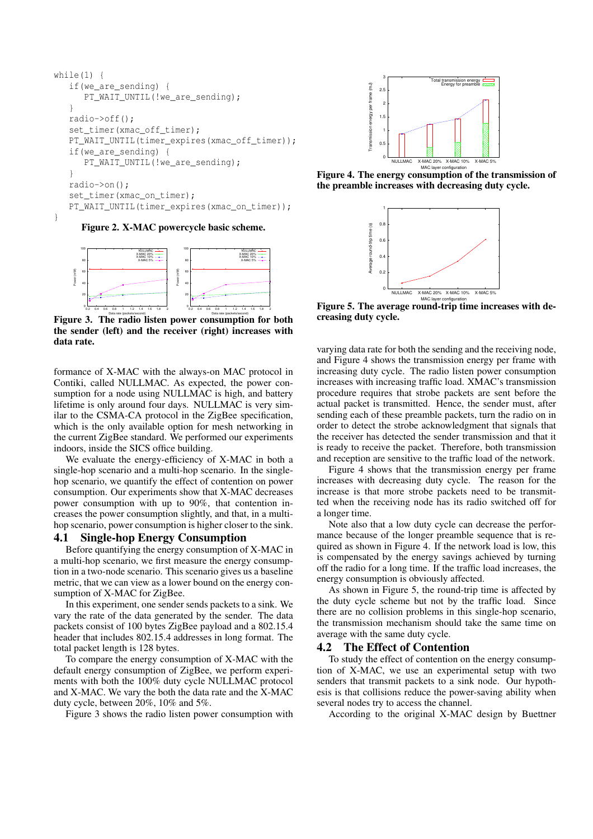```
while(1) {
   if(we_are_sending) {
      PT_WAIT_UNTIL(!we_are_sending);
   }
   radio->off();
   set_timer(xmac_off_timer);
   PT_WAIT_UNTIL(timer_expires(xmac_off_timer));
   if(we_are_sending) {
      PT_WAIT_UNTIL(!we_are_sending);
   }
   radio->on();
   set_timer(xmac_on_timer);
   PT_WAIT_UNTIL(timer_expires(xmac_on_timer));
}
```
Figure 2. X-MAC powercycle basic scheme.



Figure 3. The radio listen power consumption for both the sender (left) and the receiver (right) increases with data rate.

formance of X-MAC with the always-on MAC protocol in Contiki, called NULLMAC. As expected, the power consumption for a node using NULLMAC is high, and battery lifetime is only around four days. NULLMAC is very similar to the CSMA-CA protocol in the ZigBee specification, which is the only available option for mesh networking in the current ZigBee standard. We performed our experiments indoors, inside the SICS office building.

We evaluate the energy-efficiency of X-MAC in both a single-hop scenario and a multi-hop scenario. In the singlehop scenario, we quantify the effect of contention on power consumption. Our experiments show that X-MAC decreases power consumption with up to 90%, that contention increases the power consumption slightly, and that, in a multihop scenario, power consumption is higher closer to the sink.

# 4.1 Single-hop Energy Consumption

Before quantifying the energy consumption of X-MAC in a multi-hop scenario, we first measure the energy consumption in a two-node scenario. This scenario gives us a baseline metric, that we can view as a lower bound on the energy consumption of X-MAC for ZigBee.

In this experiment, one sender sends packets to a sink. We vary the rate of the data generated by the sender. The data packets consist of 100 bytes ZigBee payload and a 802.15.4 header that includes 802.15.4 addresses in long format. The total packet length is 128 bytes.

To compare the energy consumption of X-MAC with the default energy consumption of ZigBee, we perform experiments with both the 100% duty cycle NULLMAC protocol and X-MAC. We vary the both the data rate and the X-MAC duty cycle, between 20%, 10% and 5%.

Figure 3 shows the radio listen power consumption with



Figure 4. The energy consumption of the transmission of the preamble increases with decreasing duty cycle.



Figure 5. The average round-trip time increases with decreasing duty cycle.

varying data rate for both the sending and the receiving node, and Figure 4 shows the transmission energy per frame with increasing duty cycle. The radio listen power consumption increases with increasing traffic load. XMAC's transmission procedure requires that strobe packets are sent before the actual packet is transmitted. Hence, the sender must, after sending each of these preamble packets, turn the radio on in order to detect the strobe acknowledgment that signals that the receiver has detected the sender transmission and that it is ready to receive the packet. Therefore, both transmission and reception are sensitive to the traffic load of the network.

Figure 4 shows that the transmission energy per frame increases with decreasing duty cycle. The reason for the increase is that more strobe packets need to be transmitted when the receiving node has its radio switched off for a longer time.

Note also that a low duty cycle can decrease the performance because of the longer preamble sequence that is required as shown in Figure 4. If the network load is low, this is compensated by the energy savings achieved by turning off the radio for a long time. If the traffic load increases, the energy consumption is obviously affected.

As shown in Figure 5, the round-trip time is affected by the duty cycle scheme but not by the traffic load. Since there are no collision problems in this single-hop scenario, the transmission mechanism should take the same time on average with the same duty cycle.

## 4.2 The Effect of Contention

To study the effect of contention on the energy consumption of X-MAC, we use an experimental setup with two senders that transmit packets to a sink node. Our hypothesis is that collisions reduce the power-saving ability when several nodes try to access the channel.

According to the original X-MAC design by Buettner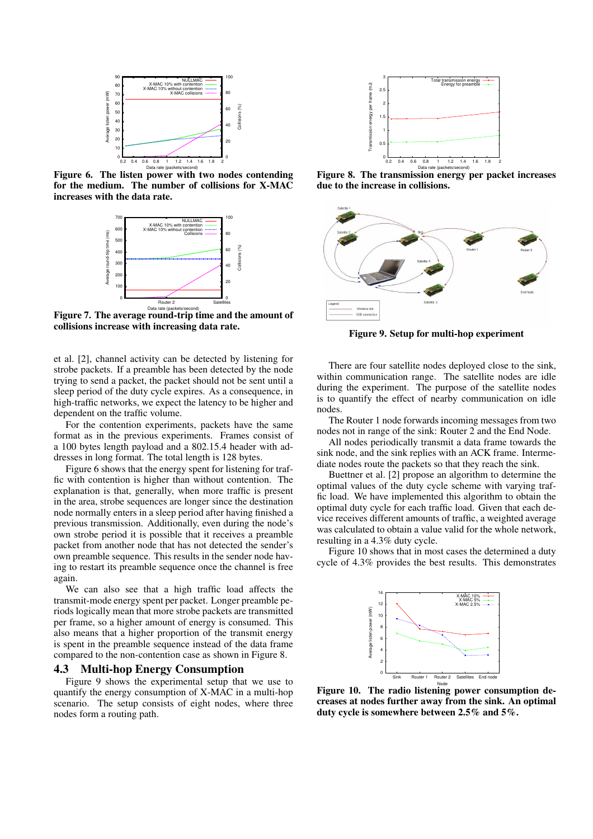

Figure 6. The listen power with two nodes contending for the medium. The number of collisions for X-MAC increases with the data rate.



Figure 7. The average round-trip time and the amount of collisions increase with increasing data rate.

et al. [2], channel activity can be detected by listening for strobe packets. If a preamble has been detected by the node trying to send a packet, the packet should not be sent until a sleep period of the duty cycle expires. As a consequence, in high-traffic networks, we expect the latency to be higher and dependent on the traffic volume.

For the contention experiments, packets have the same format as in the previous experiments. Frames consist of a 100 bytes length payload and a 802.15.4 header with addresses in long format. The total length is 128 bytes.

Figure 6 shows that the energy spent for listening for traffic with contention is higher than without contention. The explanation is that, generally, when more traffic is present in the area, strobe sequences are longer since the destination node normally enters in a sleep period after having finished a previous transmission. Additionally, even during the node's own strobe period it is possible that it receives a preamble packet from another node that has not detected the sender's own preamble sequence. This results in the sender node having to restart its preamble sequence once the channel is free again.

We can also see that a high traffic load affects the transmit-mode energy spent per packet. Longer preamble periods logically mean that more strobe packets are transmitted per frame, so a higher amount of energy is consumed. This also means that a higher proportion of the transmit energy is spent in the preamble sequence instead of the data frame compared to the non-contention case as shown in Figure 8.

## 4.3 Multi-hop Energy Consumption

Figure 9 shows the experimental setup that we use to quantify the energy consumption of X-MAC in a multi-hop scenario. The setup consists of eight nodes, where three nodes form a routing path.



Data rate (packets/second) Figure 8. The transmission energy per packet increases due to the increase in collisions.



Figure 9. Setup for multi-hop experiment

There are four satellite nodes deployed close to the sink, within communication range. The satellite nodes are idle during the experiment. The purpose of the satellite nodes is to quantify the effect of nearby communication on idle nodes.

The Router 1 node forwards incoming messages from two nodes not in range of the sink: Router 2 and the End Node.

All nodes periodically transmit a data frame towards the sink node, and the sink replies with an ACK frame. Intermediate nodes route the packets so that they reach the sink.

Buettner et al. [2] propose an algorithm to determine the optimal values of the duty cycle scheme with varying traffic load. We have implemented this algorithm to obtain the optimal duty cycle for each traffic load. Given that each device receives different amounts of traffic, a weighted average was calculated to obtain a value valid for the whole network, resulting in a 4.3% duty cycle.

Figure 10 shows that in most cases the determined a duty cycle of 4.3% provides the best results. This demonstrates



Figure 10. The radio listening power consumption decreases at nodes further away from the sink. An optimal duty cycle is somewhere between 2.5% and 5%.